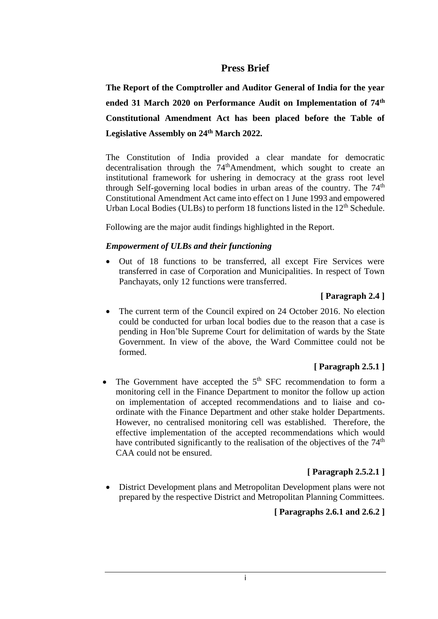### **Press Brief**

**The Report of the Comptroller and Auditor General of India for the year ended 31 March 2020 on Performance Audit on Implementation of 74th Constitutional Amendment Act has been placed before the Table of Legislative Assembly on 24th March 2022.**

The Constitution of India provided a clear mandate for democratic decentralisation through the 74<sup>th</sup>Amendment, which sought to create an institutional framework for ushering in democracy at the grass root level through Self-governing local bodies in urban areas of the country. The  $74<sup>th</sup>$ Constitutional Amendment Act came into effect on 1 June 1993 and empowered Urban Local Bodies (ULBs) to perform 18 functions listed in the  $12<sup>th</sup>$  Schedule.

Following are the major audit findings highlighted in the Report.

#### *Empowerment of ULBs and their functioning*

• Out of 18 functions to be transferred, all except Fire Services were transferred in case of Corporation and Municipalities. In respect of Town Panchayats, only 12 functions were transferred.

#### **[ Paragraph 2.4 ]**

The current term of the Council expired on 24 October 2016. No election could be conducted for urban local bodies due to the reason that a case is pending in Hon'ble Supreme Court for delimitation of wards by the State Government. In view of the above, the Ward Committee could not be formed.

#### **[ Paragraph 2.5.1 ]**

• The Government have accepted the  $5<sup>th</sup>$  SFC recommendation to form a monitoring cell in the Finance Department to monitor the follow up action on implementation of accepted recommendations and to liaise and coordinate with the Finance Department and other stake holder Departments. However, no centralised monitoring cell was established. Therefore, the effective implementation of the accepted recommendations which would have contributed significantly to the realisation of the objectives of the  $74<sup>th</sup>$ CAA could not be ensured.

### **[ Paragraph 2.5.2.1 ]**

• District Development plans and Metropolitan Development plans were not prepared by the respective District and Metropolitan Planning Committees.

#### **[ Paragraphs 2.6.1 and 2.6.2 ]**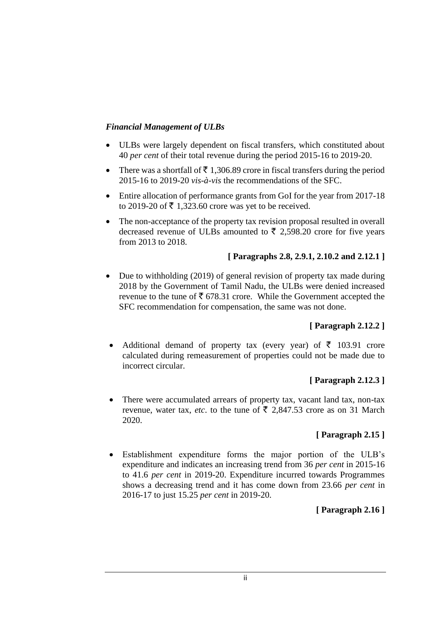### *Financial Management of ULBs*

- ULBs were largely dependent on fiscal transfers, which constituted about 40 *per cent* of their total revenue during the period 2015-16 to 2019-20.
- There was a shortfall of  $\bar{\tau}$  1,306.89 crore in fiscal transfers during the period 2015-16 to 2019-20 *vis-à-vis* the recommendations of the SFC.
- Entire allocation of performance grants from GoI for the year from 2017-18 to 2019-20 of  $\bar{\tau}$  1,323.60 crore was yet to be received.
- The non-acceptance of the property tax revision proposal resulted in overall decreased revenue of ULBs amounted to  $\bar{\tau}$  2,598.20 crore for five years from 2013 to 2018.

### **[ Paragraphs 2.8, 2.9.1, 2.10.2 and 2.12.1 ]**

• Due to withholding (2019) of general revision of property tax made during 2018 by the Government of Tamil Nadu, the ULBs were denied increased revenue to the tune of  $\bar{\mathfrak{c}}$  678.31 crore. While the Government accepted the SFC recommendation for compensation, the same was not done.

# **[ Paragraph 2.12.2 ]**

• Additional demand of property tax (every year) of  $\bar{\tau}$  103.91 crore calculated during remeasurement of properties could not be made due to incorrect circular.

### **[ Paragraph 2.12.3 ]**

There were accumulated arrears of property tax, vacant land tax, non-tax revenue, water tax, *etc.* to the tune of  $\bar{\xi}$  2,847.53 crore as on 31 March 2020.

# **[ Paragraph 2.15 ]**

• Establishment expenditure forms the major portion of the ULB's expenditure and indicates an increasing trend from 36 *per cent* in 2015-16 to 41.6 *per cent* in 2019-20. Expenditure incurred towards Programmes shows a decreasing trend and it has come down from 23.66 *per cent* in 2016-17 to just 15.25 *per cent* in 2019-20.

# **[ Paragraph 2.16 ]**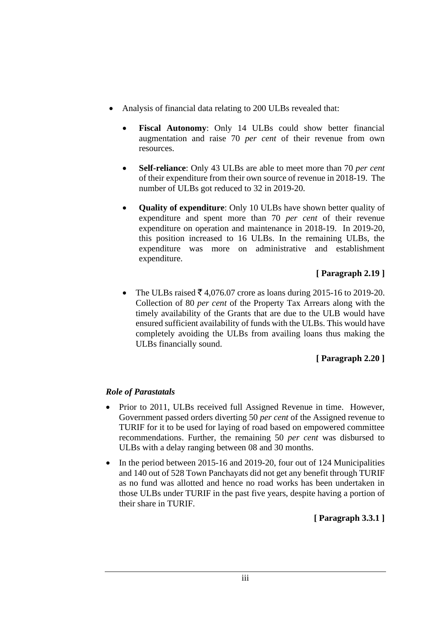- Analysis of financial data relating to 200 ULBs revealed that:
	- **Fiscal Autonomy:** Only 14 ULBs could show better financial augmentation and raise 70 *per cent* of their revenue from own resources.
	- **Self-reliance**: Only 43 ULBs are able to meet more than 70 *per cent* of their expenditure from their own source of revenue in 2018-19. The number of ULBs got reduced to 32 in 2019-20.
	- **Quality of expenditure**: Only 10 ULBs have shown better quality of expenditure and spent more than 70 *per cent* of their revenue expenditure on operation and maintenance in 2018-19. In 2019-20, this position increased to 16 ULBs. In the remaining ULBs, the expenditure was more on administrative and establishment expenditure.

# **[ Paragraph 2.19 ]**

• The ULBs raised  $\bar{\mathcal{F}}$  4,076.07 crore as loans during 2015-16 to 2019-20. Collection of 80 *per cent* of the Property Tax Arrears along with the timely availability of the Grants that are due to the ULB would have ensured sufficient availability of funds with the ULBs. This would have completely avoiding the ULBs from availing loans thus making the ULBs financially sound.

# **[ Paragraph 2.20 ]**

# *Role of Parastatals*

- Prior to 2011, ULBs received full Assigned Revenue in time. However, Government passed orders diverting 50 *per cent* of the Assigned revenue to TURIF for it to be used for laying of road based on empowered committee recommendations. Further, the remaining 50 *per cent* was disbursed to ULBs with a delay ranging between 08 and 30 months.
- In the period between 2015-16 and 2019-20, four out of 124 Municipalities and 140 out of 528 Town Panchayats did not get any benefit through TURIF as no fund was allotted and hence no road works has been undertaken in those ULBs under TURIF in the past five years, despite having a portion of their share in TURIF.

**[ Paragraph 3.3.1 ]**